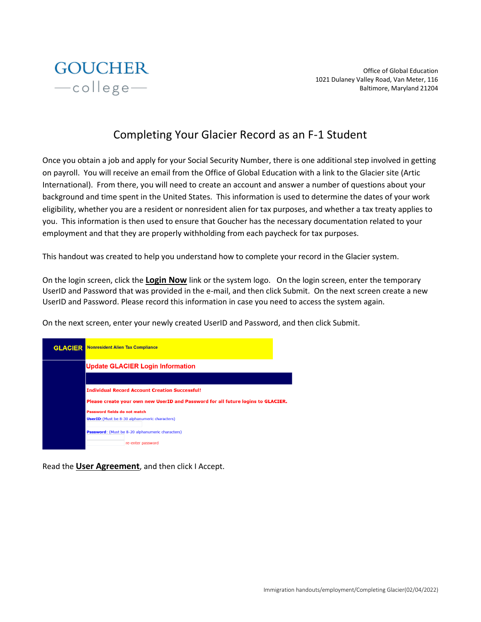

Office of Global Education 1021 Dulaney Valley Road, Van Meter, 116 Baltimore, Maryland 21204

# Completing Your Glacier Record as an F-1 Student

Once you obtain a job and apply for your Social Security Number, there is one additional step involved in getting on payroll. You will receive an email from the Office of Global Education with a link to the Glacier site (Artic International). From there, you will need to create an account and answer a number of questions about your background and time spent in the United States. This information is used to determine the dates of your work eligibility, whether you are a resident or nonresident alien for tax purposes, and whether a tax treaty applies to you. This information is then used to ensure that Goucher has the necessary documentation related to your employment and that they are properly withholding from each paycheck for tax purposes.

This handout was created to help you understand how to complete your record in the Glacier system.

On the login screen, click the **Login Now** link or the system logo. On the login screen, enter the temporary UserID and Password that was provided in the e-mail, and then click Submit. On the next screen create a new UserID and Password. Please record this information in case you need to access the system again.

On the next screen, enter your newly created UserID and Password, and then click Submit.



Read the **User Agreement**, and then click I Accept.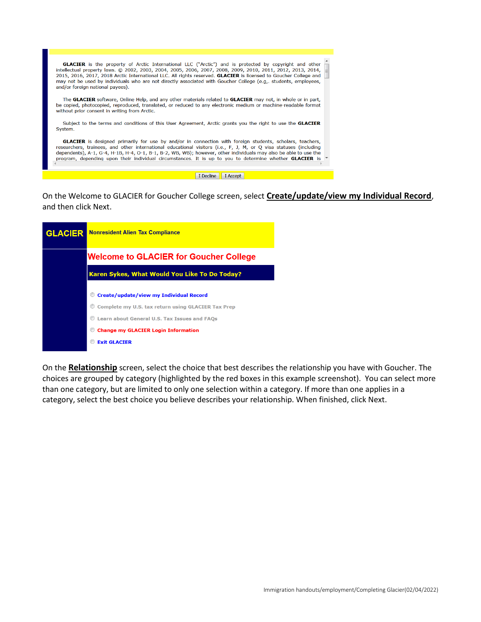

I Decline | I Accept |

On the Welcome to GLACIER for Goucher College screen, select **Create/update/view my Individual Record**, and then click Next.

| <b>GLACIER</b> | <b>Nonresident Alien Tax Compliance</b>             |  |  |  |  |
|----------------|-----------------------------------------------------|--|--|--|--|
|                | <b>Welcome to GLACIER for Goucher College</b>       |  |  |  |  |
|                | Karen Sykes, What Would You Like To Do Today?       |  |  |  |  |
|                | <b>Create/update/view my Individual Record</b>      |  |  |  |  |
|                | Complete my U.S. tax return using GLACIER Tax Prep  |  |  |  |  |
|                | <b>Learn about General U.S. Tax Issues and FAOs</b> |  |  |  |  |
|                | <b>Change my GLACIER Login Information</b>          |  |  |  |  |
|                | <b>Exit GLACIER</b>                                 |  |  |  |  |

On the **Relationship** screen, select the choice that best describes the relationship you have with Goucher. The choices are grouped by category (highlighted by the red boxes in this example screenshot). You can select more than one category, but are limited to only one selection within a category. If more than one applies in a category, select the best choice you believe describes your relationship. When finished, click Next.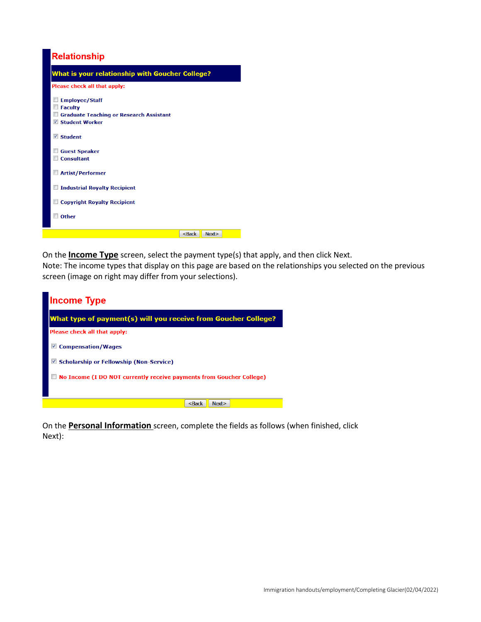

On the **Income Type** screen, select the payment type(s) that apply, and then click Next.

Note: The income types that display on this page are based on the relationships you selected on the previous screen (image on right may differ from your selections).



On the **Personal Information** screen, complete the fields as follows (when finished, click Next):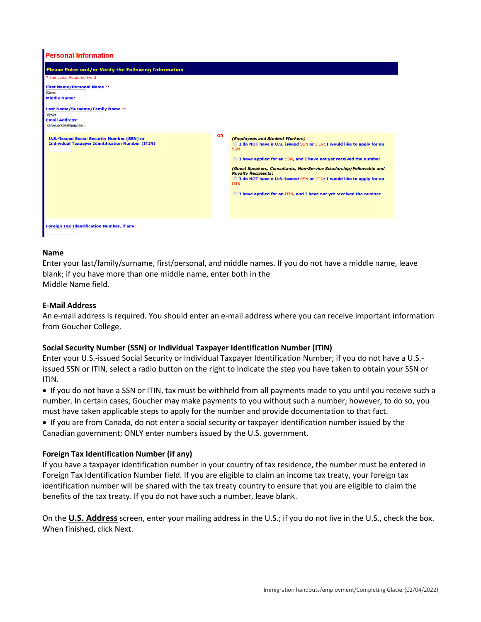| <b>Personal Information</b>                                                                                                                                                                                                                                    |           |                                                                                                                                                                                                                                                                                                                                                                                                                                                                                      |
|----------------------------------------------------------------------------------------------------------------------------------------------------------------------------------------------------------------------------------------------------------------|-----------|--------------------------------------------------------------------------------------------------------------------------------------------------------------------------------------------------------------------------------------------------------------------------------------------------------------------------------------------------------------------------------------------------------------------------------------------------------------------------------------|
| Please Enter and/or Verify the Following Information<br>* Indicates Required Field<br><b>First Name/Personal Name *:</b><br>Karen<br><b>Middle Name:</b><br>Last Name/Surname/Family Name *:<br><b>Sykes</b><br><b>Email Address:</b><br>karen.sykes@goucher.e |           |                                                                                                                                                                                                                                                                                                                                                                                                                                                                                      |
| <b>U.S.-Issued Social Security Number (SSN) or</b><br><b>Individual Taxpayer Identification Number (ITIN)</b>                                                                                                                                                  | <b>OR</b> | (Employees and Student Workers)<br>© I do NOT have a U.S.-issued SSN or ITIN; I would like to apply for an<br><b>SSN</b><br>the I have applied for an SSN, and I have not yet received the number<br>(Guest Speakers, Consultants, Non-Service Scholarship/Fellowship and<br><b>Royalty Recipients)</b><br>I do NOT have a U.S.-issued SSN or ITIN; I would like to apply for an<br><b>ITIN</b><br>$\circledcirc$ I have applied for an ITIN, and I have not yet received the number |
| <b>Foreign Tax Identification Number, if any:</b>                                                                                                                                                                                                              |           |                                                                                                                                                                                                                                                                                                                                                                                                                                                                                      |

#### **Name**

Enter your last/family/surname, first/personal, and middle names. If you do not have a middle name, leave blank; if you have more than one middle name, enter both in the Middle Name field.

#### **E-Mail Address**

An e-mail address is required. You should enter an e-mail address where you can receive important information from Goucher College.

#### **Social Security Number (SSN) or Individual Taxpayer Identification Number (ITIN)**

Enter your U.S.-issued Social Security or Individual Taxpayer Identification Number; if you do not have a U.S. issued SSN or ITIN, select a radio button on the right to indicate the step you have taken to obtain your SSN or ITIN.

• If you do not have a SSN or ITIN, tax must be withheld from all payments made to you until you receive such a number. In certain cases, Goucher may make payments to you without such a number; however, to do so, you must have taken applicable steps to apply for the number and provide documentation to that fact.

• If you are from Canada, do not enter a social security or taxpayer identification number issued by the Canadian government; ONLY enter numbers issued by the U.S. government.

#### **Foreign Tax Identification Number (if any)**

If you have a taxpayer identification number in your country of tax residence, the number must be entered in Foreign Tax Identification Number field. If you are eligible to claim an income tax treaty, your foreign tax identification number will be shared with the tax treaty country to ensure that you are eligible to claim the benefits of the tax treaty. If you do not have such a number, leave blank.

On the **U.S. Address** screen, enter your mailing address in the U.S.; if you do not live in the U.S., check the box. When finished, click Next.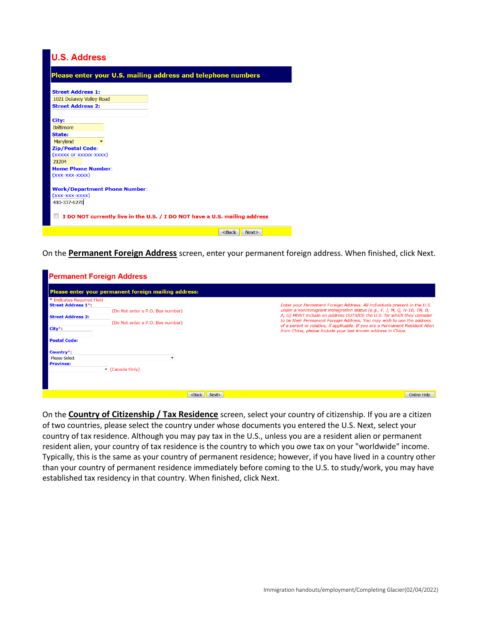## **U.S. Address**

| <b>Please enter your U.S. mailing address and telephone numbers</b>        |
|----------------------------------------------------------------------------|
| <b>Street Address 1:</b>                                                   |
| 1021 Dulaney Valley Road                                                   |
| <b>Street Address 2:</b>                                                   |
|                                                                            |
| City:                                                                      |
| <b>Baltimore</b>                                                           |
| State:                                                                     |
| Maryland                                                                   |
| <b>Zip/Postal Code:</b>                                                    |
| (XXXXX OF XXXXX-XXXX)                                                      |
| 21204                                                                      |
| <b>Home Phone Number:</b>                                                  |
| (xxx-xxx-xxxx)                                                             |
|                                                                            |
| <b>Work/Department Phone Number:</b>                                       |
| (xxx-xxx-xxxx)                                                             |
| 410-337-6270                                                               |
| I DO NOT currently live in the U.S. / I DO NOT have a U.S. mailing address |
| $Back$<br>Next>                                                            |

On the **Permanent Foreign Address** screen, enter your permanent foreign address. When finished, click Next.

| <b>Permanent Foreign Address</b>                                                                                                                                              |                                                                                         |                                                                                                                                                                                                                                                                                                                                                                                                                                                           |
|-------------------------------------------------------------------------------------------------------------------------------------------------------------------------------|-----------------------------------------------------------------------------------------|-----------------------------------------------------------------------------------------------------------------------------------------------------------------------------------------------------------------------------------------------------------------------------------------------------------------------------------------------------------------------------------------------------------------------------------------------------------|
|                                                                                                                                                                               | Please enter your permanent foreign mailing address:                                    |                                                                                                                                                                                                                                                                                                                                                                                                                                                           |
| * Indicates Required Field<br><b>Street Address 1*:</b><br><b>Street Address 2:</b><br>City*:<br><b>Postal Code:</b><br>Country*:<br><b>Please Select</b><br><b>Province:</b> | (Do Not enter a P.O. Box number)<br>(Do Not enter a P.O. Box number)<br>▼ (Canada Only) | Enter your Permanent Foreign Address. All individuals present in the U.S.<br>under a nonimmigrant immigration status (e.g., F, J, M, Q, H-1B, TN, B,<br>A, G) MUST include an address OUTSIDE the U.S. for which they consider<br>to be their Permanent Foreign Address. You may wish to use the address<br>of a parent or relative, if applicable. If you are a Permanent Resident Alien<br>from China, please include your last known address in China. |
|                                                                                                                                                                               | Next><br>$Back$                                                                         | Online Help                                                                                                                                                                                                                                                                                                                                                                                                                                               |

On the **Country of Citizenship / Tax Residence** screen, select your country of citizenship. If you are a citizen of two countries, please select the country under whose documents you entered the U.S. Next, select your country of tax residence. Although you may pay tax in the U.S., unless you are a resident alien or permanent resident alien, your country of tax residence is the country to which you owe tax on your "worldwide" income. Typically, this is the same as your country of permanent residence; however, if you have lived in a country other than your country of permanent residence immediately before coming to the U.S. to study/work, you may have established tax residency in that country. When finished, click Next.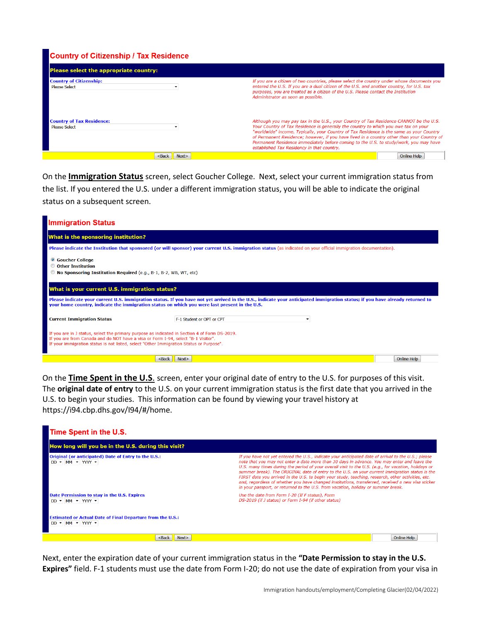### **Country of Citizenship / Tax Residence**

| Please select the appropriate country:                   |                                                                                                                                                                                                                                                                                                                                                                                                                                                                                                                |  |
|----------------------------------------------------------|----------------------------------------------------------------------------------------------------------------------------------------------------------------------------------------------------------------------------------------------------------------------------------------------------------------------------------------------------------------------------------------------------------------------------------------------------------------------------------------------------------------|--|
| <b>Country of Citizenship:</b><br><b>Please Select</b>   | If you are a citizen of two countries, please select the country under whose documents you<br>entered the U.S. If you are a dual citizen of the U.S. and another country, for U.S. tax<br>purposes, you are treated as a citizen of the U.S. Please contact the Institution<br>Administrator as soon as possible.                                                                                                                                                                                              |  |
| <b>Country of Tax Residence:</b><br><b>Please Select</b> | Although you may pay tax in the U.S., your Country of Tax Residence CANNOT be the U.S.<br>Your Country of Tax Residence is generally the country to which you owe tax on your<br>"worldwide" income. Typically, your Country of Tax Residence is the same as your Country<br>of Permanent Residence; however, if you have lived in a country other than your Country of<br>Permanent Residence immediately before coming to the U.S. to study/work, you may have<br>established Tax Residency in that country. |  |
|                                                          | Online Help                                                                                                                                                                                                                                                                                                                                                                                                                                                                                                    |  |

On the **Immigration Status** screen, select Goucher College. Next, select your current immigration status from the list. If you entered the U.S. under a different immigration status, you will be able to indicate the original status on a subsequent screen.

| <b>Immigration Status</b>                                                                                                                                                                                                                                                     |                                                                                                                                                                                                                                                                               |             |
|-------------------------------------------------------------------------------------------------------------------------------------------------------------------------------------------------------------------------------------------------------------------------------|-------------------------------------------------------------------------------------------------------------------------------------------------------------------------------------------------------------------------------------------------------------------------------|-------------|
| What is the sponsoring institution?                                                                                                                                                                                                                                           |                                                                                                                                                                                                                                                                               |             |
|                                                                                                                                                                                                                                                                               | Please indicate the Institution that sponsored (or will sponsor) your current U.S. immigration status (as indicated on your official immigration documentation).                                                                                                              |             |
| <b>Coucher College</b><br>© Other Institution<br><sup>1</sup> No Sponsoring Institution Required (e.g., B-1, B-2, WB, WT, etc)                                                                                                                                                |                                                                                                                                                                                                                                                                               |             |
| What is your current U.S. immigration status?                                                                                                                                                                                                                                 |                                                                                                                                                                                                                                                                               |             |
|                                                                                                                                                                                                                                                                               | Please indicate your current U.S. immigration status. If you have not yet arrived in the U.S., indicate your anticipated immigration status; if you have already returned to<br>your home country, indicate the immigration status on which you were last present in the U.S. |             |
| <b>Current Immigration Status</b>                                                                                                                                                                                                                                             | F-1 Student or OPT or CPT                                                                                                                                                                                                                                                     |             |
| If you are in J status, select the primary purpose as indicated in Section 4 of Form DS-2019.<br>If you are from Canada and do NOT have a visa or Form I-94, select "B-1 Visitor".<br>If your immigration status is not listed, select "Other Immigration Status or Purpose". |                                                                                                                                                                                                                                                                               |             |
|                                                                                                                                                                                                                                                                               | Next><br><back< th=""><th>Online Help</th></back<>                                                                                                                                                                                                                            | Online Help |

On the **Time Spent in the U.S**. screen, enter your original date of entry to the U.S. for purposes of this visit. The **original date of entry** to the U.S. on your current immigration status is the first date that you arrived in the U.S. to begin your studies. This information can be found by viewing your travel history at https://i94.cbp.dhs.gov/I94/#/home.



Next, enter the expiration date of your current immigration status in the **"Date Permission to stay in the U.S. Expires"** field. F-1 students must use the date from Form I-20; do not use the date of expiration from your visa in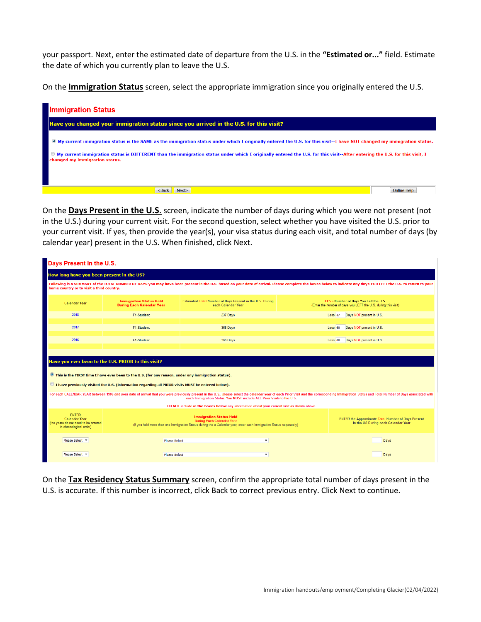your passport. Next, enter the estimated date of departure from the U.S. in the **"Estimated or..."** field. Estimate the date of which you currently plan to leave the U.S.

On the **Immigration Status** screen, select the appropriate immigration since you originally entered the U.S.



On the **Days Present in the U.S**. screen, indicate the number of days during which you were not present (not in the U.S.) during your current visit. For the second question, select whether you have visited the U.S. prior to your current visit. If yes, then provide the year(s), your visa status during each visit, and total number of days (by calendar year) present in the U.S. When finished, click Next.

| Days Present In the U.S.                                                                                                                                                                                                                                                                                                                                                                                 |                                                                                                       |                                                                                                                                                                                                                                                                                                          |                    |                                                                                                                |  |  |
|----------------------------------------------------------------------------------------------------------------------------------------------------------------------------------------------------------------------------------------------------------------------------------------------------------------------------------------------------------------------------------------------------------|-------------------------------------------------------------------------------------------------------|----------------------------------------------------------------------------------------------------------------------------------------------------------------------------------------------------------------------------------------------------------------------------------------------------------|--------------------|----------------------------------------------------------------------------------------------------------------|--|--|
| How long have you been present in the US?                                                                                                                                                                                                                                                                                                                                                                |                                                                                                       |                                                                                                                                                                                                                                                                                                          |                    |                                                                                                                |  |  |
| home country or to visit a third country.                                                                                                                                                                                                                                                                                                                                                                |                                                                                                       | Following is a SUMMARY of the TOTAL NUMBER OF DAYS you may have been present in the U.S. based on your date of arrival. Please complete the boxes below to indicate any days YOU LEFT the U.S. to return to your                                                                                         |                    |                                                                                                                |  |  |
| <b>Calendar Year</b>                                                                                                                                                                                                                                                                                                                                                                                     | <b>Immigration Status Held</b><br><b>During Each Calendar Year</b>                                    | Estimated Total Number of Days Present in the U.S. During<br>each Calendar Year                                                                                                                                                                                                                          |                    | <b>LESS Number of Days You Left the U.S.</b><br>(Enter the number of days you LEFT the U.S. during this visit) |  |  |
| 2018                                                                                                                                                                                                                                                                                                                                                                                                     | <b>F1-Student</b>                                                                                     | 237 Days                                                                                                                                                                                                                                                                                                 | Less <sub>37</sub> | Days NOT present in U.S.                                                                                       |  |  |
| 2017                                                                                                                                                                                                                                                                                                                                                                                                     | <b>F1-Student</b>                                                                                     | 365 Days                                                                                                                                                                                                                                                                                                 | Less <sub>60</sub> | Days NOT present in U.S.                                                                                       |  |  |
| 2016                                                                                                                                                                                                                                                                                                                                                                                                     | <b>F1-Student</b>                                                                                     | 366 Days                                                                                                                                                                                                                                                                                                 | Less <sub>60</sub> | Days NOT present in U.S.                                                                                       |  |  |
|                                                                                                                                                                                                                                                                                                                                                                                                          |                                                                                                       |                                                                                                                                                                                                                                                                                                          |                    |                                                                                                                |  |  |
|                                                                                                                                                                                                                                                                                                                                                                                                          | Have you ever been to the U.S. PRIOR to this visit?                                                   |                                                                                                                                                                                                                                                                                                          |                    |                                                                                                                |  |  |
|                                                                                                                                                                                                                                                                                                                                                                                                          | © This is the FIRST time I have ever been to the U.S. (for any reason, under any immigration status). |                                                                                                                                                                                                                                                                                                          |                    |                                                                                                                |  |  |
|                                                                                                                                                                                                                                                                                                                                                                                                          | O I have previously visited the U.S. (information regarding all PRIOR visits MUST be entered below).  |                                                                                                                                                                                                                                                                                                          |                    |                                                                                                                |  |  |
|                                                                                                                                                                                                                                                                                                                                                                                                          |                                                                                                       | For each CALENDAR YEAR between 1986 and your date of arrival that you were previously present in the U.S., please select the calendar year of each Prior Visit and the corresponding Immigration Status and Total Number of Da<br>each Immigration Status. You MUST include ALL Prior Visits to the U.S. |                    |                                                                                                                |  |  |
|                                                                                                                                                                                                                                                                                                                                                                                                          | DO NOT include in the boxes below any information about your current visit as shown above             |                                                                                                                                                                                                                                                                                                          |                    |                                                                                                                |  |  |
| <b>ENTER</b><br><b>Immigration Status Held</b><br><b>Calendar Year</b><br><b>ENTER the Approximate Total Number of Days Present</b><br><b>During Each Calendar Year</b><br>(the years do not need to be entered<br>in the US During each Calendar Year<br>(If you held more than one Immigration Status during the a Calendar year, enter each Immigration Status separately)<br>in chronological order) |                                                                                                       |                                                                                                                                                                                                                                                                                                          |                    |                                                                                                                |  |  |
| Please Select Y                                                                                                                                                                                                                                                                                                                                                                                          | <b>Please Select</b>                                                                                  | ۰                                                                                                                                                                                                                                                                                                        |                    | Days                                                                                                           |  |  |
| Please Select -                                                                                                                                                                                                                                                                                                                                                                                          | <b>Please Select</b>                                                                                  | ۰.                                                                                                                                                                                                                                                                                                       |                    | Days                                                                                                           |  |  |

On the **Tax Residency Status Summary** screen, confirm the appropriate total number of days present in the U.S. is accurate. If this number is incorrect, click Back to correct previous entry. Click Next to continue.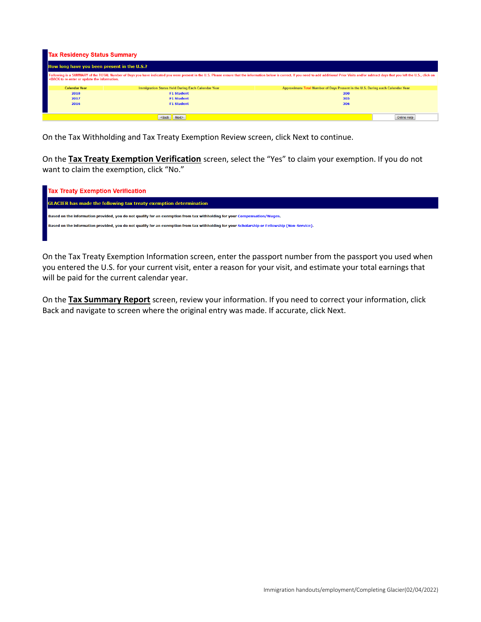| <b>Tax Residency Status Summary</b>                                                                                                                                                                                                                                                                                           |                                                   |                                                                                                                                                                                                                                |  |  |  |  |
|-------------------------------------------------------------------------------------------------------------------------------------------------------------------------------------------------------------------------------------------------------------------------------------------------------------------------------|---------------------------------------------------|--------------------------------------------------------------------------------------------------------------------------------------------------------------------------------------------------------------------------------|--|--|--|--|
|                                                                                                                                                                                                                                                                                                                               | How long have you been present in the U.S.?       |                                                                                                                                                                                                                                |  |  |  |  |
| <back information.<="" or="" re-enter="" th="" the="" to="" update=""><th></th><th>Following is a SUMMARY of the TOTAL Number of Days you have indicated you were present in the U.S. Please ensure that the information below is correct. If you need to add additional Prior Visits and/or subtract days that y</th></back> |                                                   | Following is a SUMMARY of the TOTAL Number of Days you have indicated you were present in the U.S. Please ensure that the information below is correct. If you need to add additional Prior Visits and/or subtract days that y |  |  |  |  |
| <b>Calendar Year</b>                                                                                                                                                                                                                                                                                                          | Immigration Status Held During Each Calendar Year | Approximate Total Number of Days Present in the U.S. During each Calendar Year                                                                                                                                                 |  |  |  |  |
| 2018                                                                                                                                                                                                                                                                                                                          | <b>F1 Student</b>                                 | 200                                                                                                                                                                                                                            |  |  |  |  |
| 2017                                                                                                                                                                                                                                                                                                                          | <b>F1 Student</b>                                 | 305                                                                                                                                                                                                                            |  |  |  |  |
| 2016                                                                                                                                                                                                                                                                                                                          | <b>F1 Student</b>                                 | 306                                                                                                                                                                                                                            |  |  |  |  |
|                                                                                                                                                                                                                                                                                                                               |                                                   |                                                                                                                                                                                                                                |  |  |  |  |
|                                                                                                                                                                                                                                                                                                                               | <back next=""></back>                             | Online Help                                                                                                                                                                                                                    |  |  |  |  |

On the Tax Withholding and Tax Treaty Exemption Review screen, click Next to continue.

On the **Tax Treaty Exemption Verification** screen, select the "Yes" to claim your exemption. If you do not want to claim the exemption, click "No."

| <b>Tax Treaty Exemption Verification</b>                                                                                                      |
|-----------------------------------------------------------------------------------------------------------------------------------------------|
| <b>GLACIER</b> has made the following tax treaty exemption determination                                                                      |
| Based on the information provided, you do not qualify for an exemption from tax withholding for your Compensation/Wages.                      |
| Based on the information provided, you do not qualify for an exemption from tax withholding for your Scholarship or Fellowship (Non-Service). |
|                                                                                                                                               |

On the Tax Treaty Exemption Information screen, enter the passport number from the passport you used when you entered the U.S. for your current visit, enter a reason for your visit, and estimate your total earnings that will be paid for the current calendar year.

On the **Tax Summary Report** screen, review your information. If you need to correct your information, click Back and navigate to screen where the original entry was made. If accurate, click Next.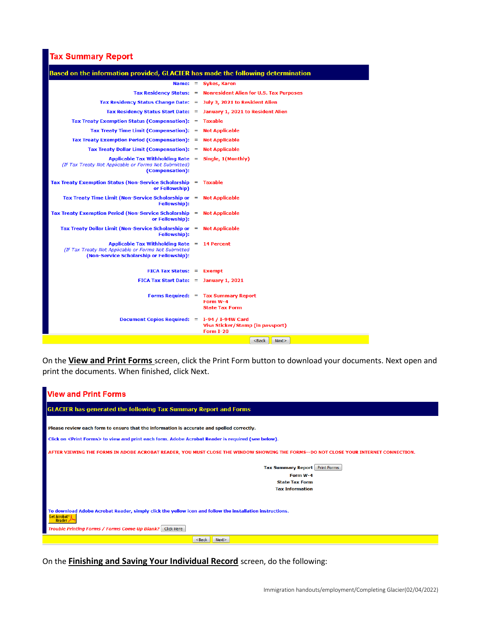## **Tax Summary Report**

| Name: $=$ Sykes, Karen<br>Tax Residency Status: = Nonresident Alien for U.S. Tax Purposes<br>Tax Residency Status Change Date: = July 3, 2021 to Resident Alien<br>Tax Residency Status Start Date: = January 1, 2021 to Resident Alien<br>Tax Treaty Exemption Status (Compensation): = Taxable<br>Tax Treaty Time Limit (Compensation): = Not Applicable<br>Tax Treaty Exemption Period (Compensation): = Not Applicable<br>Tax Treaty Dollar Limit (Compensation): = Not Applicable<br>Applicable Tax Withholding Rate $=$ Single, 1(Monthly)<br>(If Tax Treaty Not Applicable or Forms Not Submitted)<br>(Compensation):<br>Tax Treaty Exemption Status (Non-Service Scholarship = Taxable<br>or Fellowship)<br>Tax Treaty Time Limit (Non-Service Scholarship or = Not Applicable<br><b>Fellowship</b> ):<br>Tax Treaty Exemption Period (Non-Service Scholarship = Not Applicable<br>or Fellowship):<br>Tax Treaty Dollar Limit (Non-Service Scholarship or = Not Applicable<br>Fellowship):<br>Applicable Tax Withholding Rate $= 14$ Percent<br>(If Tax Treaty Not Applicable or Forms Not Submitted<br>(Non-Service Scholarship or Fellowship):<br>$FICA Tax Status: = Exempt$<br>FICA Tax Start Date: $=$ January 1, 2021<br>Forms Required: = Tax Summary Report<br>Form W-4<br><b>State Tax Form</b><br>Document Copies Required: = I-94 / I-94W Card<br>Visa Sticker/Stamp (in passport) | Based on the information provided, GLACIER has made the following determination |                  |
|-------------------------------------------------------------------------------------------------------------------------------------------------------------------------------------------------------------------------------------------------------------------------------------------------------------------------------------------------------------------------------------------------------------------------------------------------------------------------------------------------------------------------------------------------------------------------------------------------------------------------------------------------------------------------------------------------------------------------------------------------------------------------------------------------------------------------------------------------------------------------------------------------------------------------------------------------------------------------------------------------------------------------------------------------------------------------------------------------------------------------------------------------------------------------------------------------------------------------------------------------------------------------------------------------------------------------------------------------------------------------------------------------------|---------------------------------------------------------------------------------|------------------|
|                                                                                                                                                                                                                                                                                                                                                                                                                                                                                                                                                                                                                                                                                                                                                                                                                                                                                                                                                                                                                                                                                                                                                                                                                                                                                                                                                                                                       |                                                                                 |                  |
|                                                                                                                                                                                                                                                                                                                                                                                                                                                                                                                                                                                                                                                                                                                                                                                                                                                                                                                                                                                                                                                                                                                                                                                                                                                                                                                                                                                                       |                                                                                 |                  |
|                                                                                                                                                                                                                                                                                                                                                                                                                                                                                                                                                                                                                                                                                                                                                                                                                                                                                                                                                                                                                                                                                                                                                                                                                                                                                                                                                                                                       |                                                                                 |                  |
|                                                                                                                                                                                                                                                                                                                                                                                                                                                                                                                                                                                                                                                                                                                                                                                                                                                                                                                                                                                                                                                                                                                                                                                                                                                                                                                                                                                                       |                                                                                 |                  |
|                                                                                                                                                                                                                                                                                                                                                                                                                                                                                                                                                                                                                                                                                                                                                                                                                                                                                                                                                                                                                                                                                                                                                                                                                                                                                                                                                                                                       |                                                                                 |                  |
|                                                                                                                                                                                                                                                                                                                                                                                                                                                                                                                                                                                                                                                                                                                                                                                                                                                                                                                                                                                                                                                                                                                                                                                                                                                                                                                                                                                                       |                                                                                 |                  |
|                                                                                                                                                                                                                                                                                                                                                                                                                                                                                                                                                                                                                                                                                                                                                                                                                                                                                                                                                                                                                                                                                                                                                                                                                                                                                                                                                                                                       |                                                                                 |                  |
|                                                                                                                                                                                                                                                                                                                                                                                                                                                                                                                                                                                                                                                                                                                                                                                                                                                                                                                                                                                                                                                                                                                                                                                                                                                                                                                                                                                                       |                                                                                 |                  |
|                                                                                                                                                                                                                                                                                                                                                                                                                                                                                                                                                                                                                                                                                                                                                                                                                                                                                                                                                                                                                                                                                                                                                                                                                                                                                                                                                                                                       |                                                                                 |                  |
|                                                                                                                                                                                                                                                                                                                                                                                                                                                                                                                                                                                                                                                                                                                                                                                                                                                                                                                                                                                                                                                                                                                                                                                                                                                                                                                                                                                                       |                                                                                 |                  |
|                                                                                                                                                                                                                                                                                                                                                                                                                                                                                                                                                                                                                                                                                                                                                                                                                                                                                                                                                                                                                                                                                                                                                                                                                                                                                                                                                                                                       |                                                                                 |                  |
|                                                                                                                                                                                                                                                                                                                                                                                                                                                                                                                                                                                                                                                                                                                                                                                                                                                                                                                                                                                                                                                                                                                                                                                                                                                                                                                                                                                                       |                                                                                 |                  |
|                                                                                                                                                                                                                                                                                                                                                                                                                                                                                                                                                                                                                                                                                                                                                                                                                                                                                                                                                                                                                                                                                                                                                                                                                                                                                                                                                                                                       |                                                                                 |                  |
|                                                                                                                                                                                                                                                                                                                                                                                                                                                                                                                                                                                                                                                                                                                                                                                                                                                                                                                                                                                                                                                                                                                                                                                                                                                                                                                                                                                                       |                                                                                 |                  |
|                                                                                                                                                                                                                                                                                                                                                                                                                                                                                                                                                                                                                                                                                                                                                                                                                                                                                                                                                                                                                                                                                                                                                                                                                                                                                                                                                                                                       |                                                                                 |                  |
|                                                                                                                                                                                                                                                                                                                                                                                                                                                                                                                                                                                                                                                                                                                                                                                                                                                                                                                                                                                                                                                                                                                                                                                                                                                                                                                                                                                                       |                                                                                 |                  |
|                                                                                                                                                                                                                                                                                                                                                                                                                                                                                                                                                                                                                                                                                                                                                                                                                                                                                                                                                                                                                                                                                                                                                                                                                                                                                                                                                                                                       |                                                                                 |                  |
|                                                                                                                                                                                                                                                                                                                                                                                                                                                                                                                                                                                                                                                                                                                                                                                                                                                                                                                                                                                                                                                                                                                                                                                                                                                                                                                                                                                                       |                                                                                 | <b>Form I-20</b> |

On the **View and Print Forms** screen, click the Print Form button to download your documents. Next open and print the documents. When finished, click Next.

| <b>View and Print Forms</b>                                                                                                                  |
|----------------------------------------------------------------------------------------------------------------------------------------------|
| <b>GLACIER has generated the following Tax Summary Report and Forms</b>                                                                      |
|                                                                                                                                              |
| Please review each form to ensure that the information is accurate and spelled correctly.                                                    |
| Click on <print forms=""> to view and print each form. Adobe Acrobat Reader is required (see below).</print>                                 |
| AFTER VIEWING THE FORMS IN ADOBE ACROBAT READER, YOU MUST CLOSE THE WINDOW SHOWING THE FORMS--DO NOT CLOSE YOUR INTERNET CONNECTION.         |
| Tax Summary Report Print Forms                                                                                                               |
| Form W-4                                                                                                                                     |
| <b>State Tax Form</b>                                                                                                                        |
| <b>Tax Information</b>                                                                                                                       |
|                                                                                                                                              |
| To download Adobe Acrobat Reader, simply click the yellow icon and follow the installation instructions.<br><b>Get Acrobat</b> ® &<br>Reader |
| Trouble Printing Forms / Forms Come Up Blank? Click Here                                                                                     |
| $Back$<br>Next                                                                                                                               |

On the **Finishing and Saving Your Individual Record** screen, do the following: